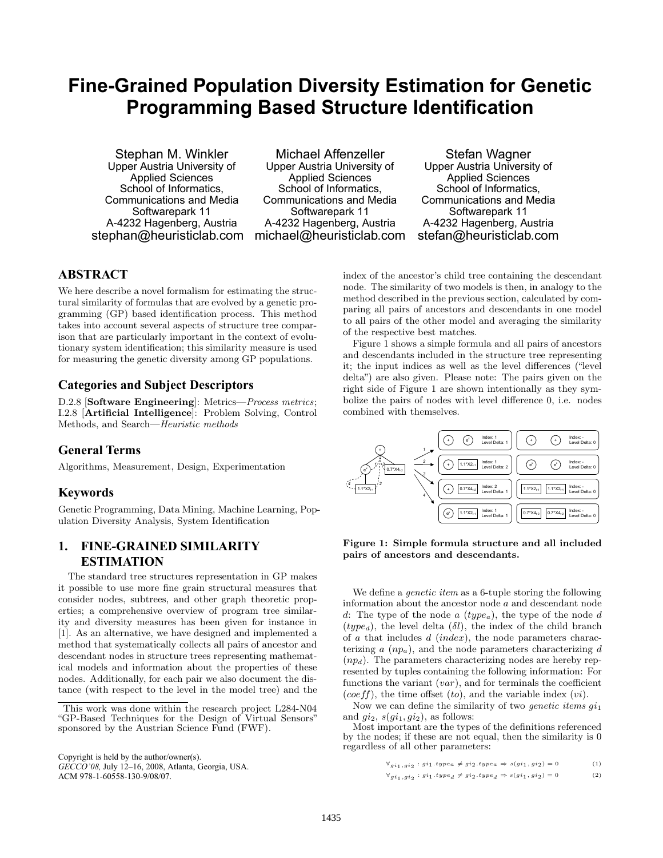# **Fine-Grained Population Diversity Estimation for Genetic Programming Based Structure Identification**

Stephan M. Winkler Upper Austria University of Applied Sciences School of Informatics, Communications and Media Softwarepark 11 A-4232 Hagenberg, Austria stephan@heuristiclab.com

Michael Affenzeller Upper Austria University of Applied Sciences School of Informatics, Communications and Media Softwarepark 11 A-4232 Hagenberg, Austria michael@heuristiclab.com

Stefan Wagner Upper Austria University of Applied Sciences School of Informatics, Communications and Media Softwarepark 11 A-4232 Hagenberg, Austria stefan@heuristiclab.com

## **ABSTRACT**

We here describe a novel formalism for estimating the structural similarity of formulas that are evolved by a genetic programming (GP) based identification process. This method takes into account several aspects of structure tree comparison that are particularly important in the context of evolutionary system identification; this similarity measure is used for measuring the genetic diversity among GP populations.

#### **Categories and Subject Descriptors**

D.2.8 [**Software Engineering**]: Metrics—*Process metrics*; I.2.8 [**Artificial Intelligence**]: Problem Solving, Control Methods, and Search—*Heuristic methods*

#### **General Terms**

Algorithms, Measurement, Design, Experimentation

#### **Keywords**

Genetic Programming, Data Mining, Machine Learning, Population Diversity Analysis, System Identification

### **1. FINE-GRAINED SIMILARITY ESTIMATION**

The standard tree structures representation in GP makes it possible to use more fine grain structural measures that consider nodes, subtrees, and other graph theoretic properties; a comprehensive overview of program tree similarity and diversity measures has been given for instance in [1]. As an alternative, we have designed and implemented a method that systematically collects all pairs of ancestor and descendant nodes in structure trees representing mathematical models and information about the properties of these nodes. Additionally, for each pair we also document the distance (with respect to the level in the model tree) and the

Copyright is held by the author/owner(s).

*GECCO'08,* July 12–16, 2008, Atlanta, Georgia, USA. ACM 978-1-60558-130-9/08/07.

index of the ancestor's child tree containing the descendant node. The similarity of two models is then, in analogy to the method described in the previous section, calculated by comparing all pairs of ancestors and descendants in one model to all pairs of the other model and averaging the similarity of the respective best matches.

Figure 1 shows a simple formula and all pairs of ancestors and descendants included in the structure tree representing it; the input indices as well as the level differences ("level delta") are also given. Please note: The pairs given on the right side of Figure 1 are shown intentionally as they symbolize the pairs of nodes with level difference 0, i.e. nodes combined with themselves.



**Figure 1: Simple formula structure and all included pairs of ancestors and descendants.**

We define a *genetic item* as a 6-tuple storing the following information about the ancestor node a and descendant node d: The type of the node a (type*a*), the type of the node d  $(type_d)$ , the level delta  $(\delta l)$ , the index of the child branch of  $\alpha$  that includes  $d$  (index), the node parameters characterizing  $a$   $(np_a)$ , and the node parameters characterizing  $d$  $(np_d)$ . The parameters characterizing nodes are hereby represented by tuples containing the following information: For functions the variant  $(var)$ , and for terminals the coefficient (coeff), the time offset  $(to)$ , and the variable index  $(vi)$ .

Now we can define the similarity of two *genetic items*  $q_{11}$ and  $q_{i2}$ ,  $s(q_{i1}, q_{i2})$ , as follows:

Most important are the types of the definitions referenced by the nodes; if these are not equal, then the similarity is 0 regardless of all other parameters:

$$
\forall_{g i_1, g i_2} : g i_1. type_a \neq g i_2. type_a \Rightarrow s(g i_1, g i_2) = 0 \qquad \qquad (1)
$$

$$
\forall gi_1, gi_2 : gi_1.type_d \neq gi_2.type_d \Rightarrow s(gi_1, gi_2) = 0
$$
 (2)

This work was done within the research project L284-N04 "GP-Based Techniques for the Design of Virtual Sensors" sponsored by the Austrian Science Fund (FWF).